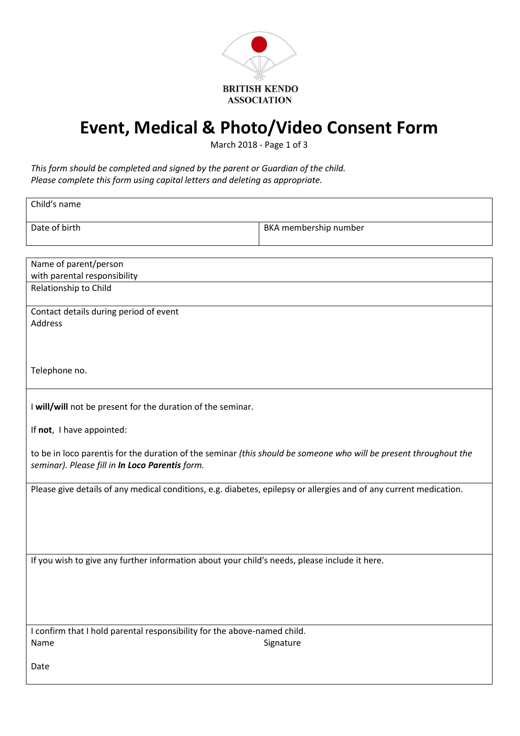

# **Event, Medical & Photo/Video Consent Form**

March 2018 - Page 1 of 3

#### *This form should be completed and signed by the parent or Guardian of the child. Please complete this form using capital letters and deleting as appropriate.*

| Child's name                                                                                                                                                         |                       |  |  |
|----------------------------------------------------------------------------------------------------------------------------------------------------------------------|-----------------------|--|--|
| Date of birth                                                                                                                                                        | BKA membership number |  |  |
|                                                                                                                                                                      |                       |  |  |
| Name of parent/person                                                                                                                                                |                       |  |  |
| with parental responsibility                                                                                                                                         |                       |  |  |
| Relationship to Child                                                                                                                                                |                       |  |  |
| Contact details during period of event                                                                                                                               |                       |  |  |
| <b>Address</b>                                                                                                                                                       |                       |  |  |
|                                                                                                                                                                      |                       |  |  |
|                                                                                                                                                                      |                       |  |  |
| Telephone no.                                                                                                                                                        |                       |  |  |
|                                                                                                                                                                      |                       |  |  |
| I will/will not be present for the duration of the seminar.                                                                                                          |                       |  |  |
| If not, I have appointed:                                                                                                                                            |                       |  |  |
| to be in loco parentis for the duration of the seminar (this should be someone who will be present throughout the<br>seminar). Please fill in In Loco Parentis form. |                       |  |  |
| Please give details of any medical conditions, e.g. diabetes, epilepsy or allergies and of any current medication.                                                   |                       |  |  |
|                                                                                                                                                                      |                       |  |  |
|                                                                                                                                                                      |                       |  |  |
|                                                                                                                                                                      |                       |  |  |
|                                                                                                                                                                      |                       |  |  |
| If you wish to give any further information about your child's needs, please include it here.                                                                        |                       |  |  |
|                                                                                                                                                                      |                       |  |  |
|                                                                                                                                                                      |                       |  |  |
|                                                                                                                                                                      |                       |  |  |
|                                                                                                                                                                      |                       |  |  |
| I confirm that I hold parental responsibility for the above-named child.                                                                                             |                       |  |  |
| Name                                                                                                                                                                 | Signature             |  |  |
|                                                                                                                                                                      |                       |  |  |
| Date                                                                                                                                                                 |                       |  |  |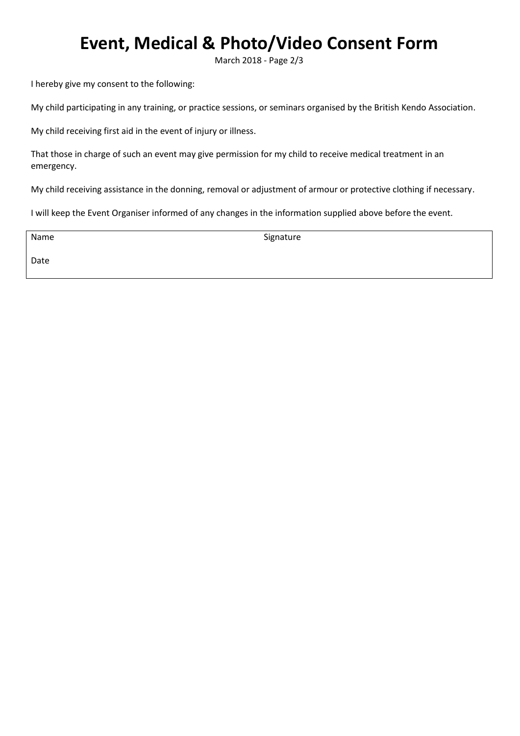## **Event, Medical & Photo/Video Consent Form**

March 2018 - Page 2/3

I hereby give my consent to the following:

My child participating in any training, or practice sessions, or seminars organised by the British Kendo Association.

My child receiving first aid in the event of injury or illness.

That those in charge of such an event may give permission for my child to receive medical treatment in an emergency.

My child receiving assistance in the donning, removal or adjustment of armour or protective clothing if necessary.

I will keep the Event Organiser informed of any changes in the information supplied above before the event.

Name

Signature

Date